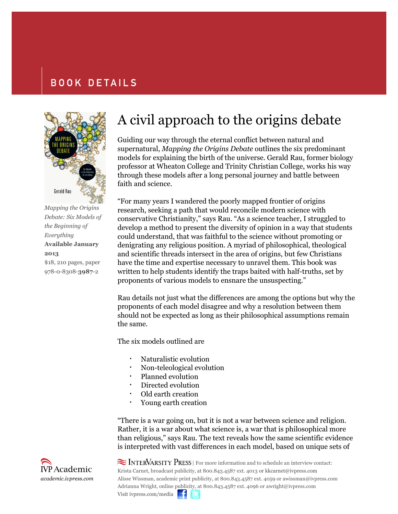## **BOOK DETAILS**



*Debate: Six Models of the Beginning of Everything* **Available January 2013** \$18, 210 pages, paper 978-0-8308-**3987**-2

## A civil approach to the origins debate

Guiding our way through the eternal conflict between natural and supernatural, *Mapping the Origins Debate* outlines the six predominant models for explaining the birth of the universe. Gerald Rau, former biology professor at Wheaton College and Trinity Christian College, works his way through these models after a long personal journey and battle between faith and science.

"For many years I wandered the poorly mapped frontier of origins research, seeking a path that would reconcile modern science with conservative Christianity," says Rau. "As a science teacher, I struggled to develop a method to present the diversity of opinion in a way that students could understand, that was faithful to the science without promoting or denigrating any religious position. A myriad of philosophical, theological and scientific threads intersect in the area of origins, but few Christians have the time and expertise necessary to unravel them. This book was written to help students identify the traps baited with half-truths, set by proponents of various models to ensnare the unsuspecting."

Rau details not just what the differences are among the options but why the proponents of each model disagree and why a resolution between them should not be expected as long as their philosophical assumptions remain the same.

The six models outlined are

- Naturalistic evolution
- Non-teleological evolution
- Planned evolution
- Directed evolution
- Old earth creation
- Young earth creation

"There is a war going on, but it is not a war between science and religion. Rather, it is a war about what science is, a war that is philosophical more than religious," says Rau. The text reveals how the same scientific evidence is interpreted with vast differences in each model, based on unique sets of

 $\approx$  INTERVARSITY PRESS  $\mid$  For more information and to schedule an interview contact: Krista Carnet, broadcast publicity, at 800.843.4587 ext. 4013 or kkcarnet@ivpress.com Alisse Wissman, academic print publicity, at 800.843.4587 ext. 4059 or awissman@ivpress.com Adrianna Wright, online publicity, at 800.843.4587 ext. 4096 or awright@ivpress.com Visit ivpress.com/media  $\blacksquare$